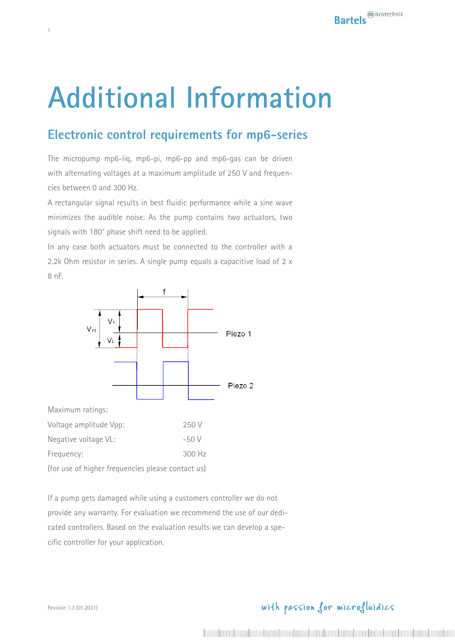# **Additional Information**

## **Electronic control requirements for mp6-series**

The micropump mp6-liq, mp6-pi, mp6-pp and mp6-gas can be driven with alternating voltages at a maximum amplitude of 250 V and frequencies between 0 and 300 Hz.

A rectangular signal results in best fluidic performance while a sine wave minimizes the audible noise. As the pump contains two actuators, two signals with 180° phase shift need to be applied.

In any case both actuators must be connected to the controller with a 2.2k Ohm resistor in series. A single pump equals a capacitive load of 2 x 8 nF.



Maximum ratings:

1

| Voltage amplitude Vpp:                            | 250 V    |
|---------------------------------------------------|----------|
| Negative voltage VL:                              | $-50V$   |
| Frequency:                                        | $300$ Hz |
| (for use of higher frequencies please contact us) |          |

If a pump gets damaged while using a customers controller we do not provide any warranty. For evaluation we recommend the use of our dedicated controllers. Based on the evaluation results we can develop a specific controller for your application.

## with passion for microfluidics